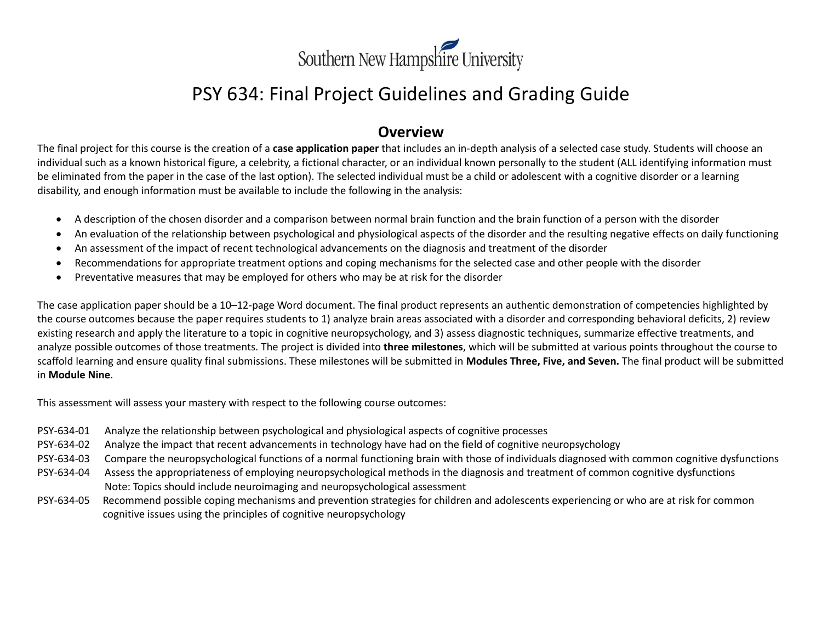

# PSY 634: Final Project Guidelines and Grading Guide

### **Overview**

The final project for this course is the creation of a **case application paper** that includes an in-depth analysis of a selected case study. Students will choose an individual such as a known historical figure, a celebrity, a fictional character, or an individual known personally to the student (ALL identifying information must be eliminated from the paper in the case of the last option). The selected individual must be a child or adolescent with a cognitive disorder or a learning disability, and enough information must be available to include the following in the analysis:

- A description of the chosen disorder and a comparison between normal brain function and the brain function of a person with the disorder
- An evaluation of the relationship between psychological and physiological aspects of the disorder and the resulting negative effects on daily functioning
- An assessment of the impact of recent technological advancements on the diagnosis and treatment of the disorder
- Recommendations for appropriate treatment options and coping mechanisms for the selected case and other people with the disorder
- Preventative measures that may be employed for others who may be at risk for the disorder

The case application paper should be a 10–12-page Word document. The final product represents an authentic demonstration of competencies highlighted by the course outcomes because the paper requires students to 1) analyze brain areas associated with a disorder and corresponding behavioral deficits, 2) review existing research and apply the literature to a topic in cognitive neuropsychology, and 3) assess diagnostic techniques, summarize effective treatments, and analyze possible outcomes of those treatments. The project is divided into **three milestones**, which will be submitted at various points throughout the course to scaffold learning and ensure quality final submissions. These milestones will be submitted in **Modules Three, Five, and Seven.** The final product will be submitted in **Module Nine**.

This assessment will assess your mastery with respect to the following course outcomes:

- PSY-634-01 Analyze the relationship between psychological and physiological aspects of cognitive processes
- PSY-634-02 Analyze the impact that recent advancements in technology have had on the field of cognitive neuropsychology
- PSY-634-03 Compare the neuropsychological functions of a normal functioning brain with those of individuals diagnosed with common cognitive dysfunctions
- PSY-634-04 Assess the appropriateness of employing neuropsychological methods in the diagnosis and treatment of common cognitive dysfunctions Note: Topics should include neuroimaging and neuropsychological assessment
- PSY-634-05 Recommend possible coping mechanisms and prevention strategies for children and adolescents experiencing or who are at risk for common cognitive issues using the principles of cognitive neuropsychology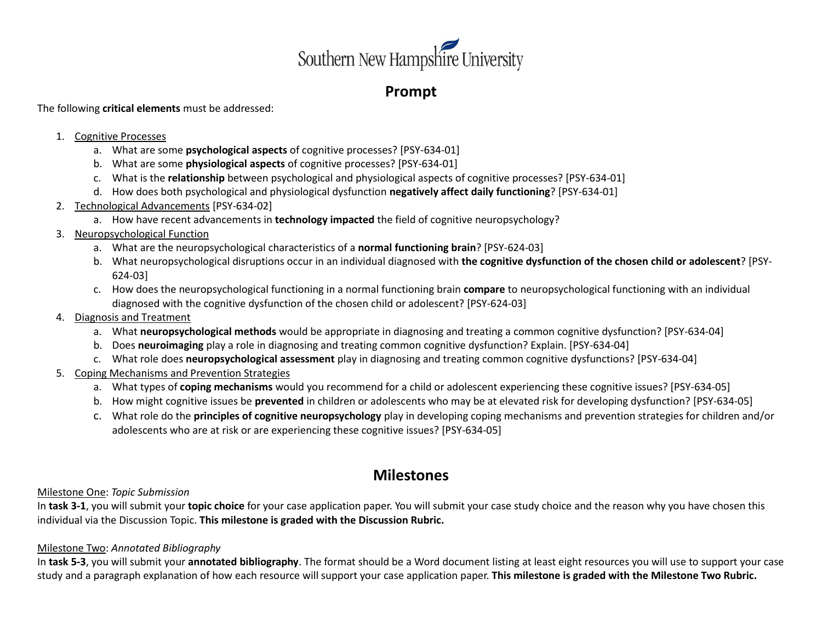

# **Prompt**

The following **critical elements** must be addressed:

### 1. Cognitive Processes

- a. What are some **psychological aspects** of cognitive processes? [PSY-634-01]
- b. What are some **physiological aspects** of cognitive processes? [PSY-634-01]
- c. What is the **relationship** between psychological and physiological aspects of cognitive processes? [PSY-634-01]
- d. How does both psychological and physiological dysfunction **negatively affect daily functioning**? [PSY-634-01]
- 2. Technological Advancements [PSY-634-02]
	- a. How have recent advancements in **technology impacted** the field of cognitive neuropsychology?
- 3. Neuropsychological Function
	- a. What are the neuropsychological characteristics of a **normal functioning brain**? [PSY-624-03]
	- b. What neuropsychological disruptions occur in an individual diagnosed with **the cognitive dysfunction of the chosen child or adolescent**? [PSY-624-03]
	- c. How does the neuropsychological functioning in a normal functioning brain **compare** to neuropsychological functioning with an individual diagnosed with the cognitive dysfunction of the chosen child or adolescent? [PSY-624-03]
- 4. Diagnosis and Treatment
	- a. What **neuropsychological methods** would be appropriate in diagnosing and treating a common cognitive dysfunction? [PSY-634-04]
	- b. Does **neuroimaging** play a role in diagnosing and treating common cognitive dysfunction? Explain. [PSY-634-04]
	- c. What role does **neuropsychological assessment** play in diagnosing and treating common cognitive dysfunctions? [PSY-634-04]
- 5. Coping Mechanisms and Prevention Strategies
	- a. What types of **coping mechanisms** would you recommend for a child or adolescent experiencing these cognitive issues? [PSY-634-05]
	- b. How might cognitive issues be **prevented** in children or adolescents who may be at elevated risk for developing dysfunction? [PSY-634-05]
	- c. What role do the **principles of cognitive neuropsychology** play in developing coping mechanisms and prevention strategies for children and/or adolescents who are at risk or are experiencing these cognitive issues? [PSY-634-05]

# **Milestones**

Milestone One: *Topic Submission*

In **task 3-1**, you will submit your **topic choice** for your case application paper. You will submit your case study choice and the reason why you have chosen this individual via the Discussion Topic. **This milestone is graded with the Discussion Rubric.**

### Milestone Two: *Annotated Bibliography*

In **task 5-3**, you will submit your **annotated bibliography**. The format should be a Word document listing at least eight resources you will use to support your case study and a paragraph explanation of how each resource will support your case application paper. **This milestone is graded with the Milestone Two Rubric.**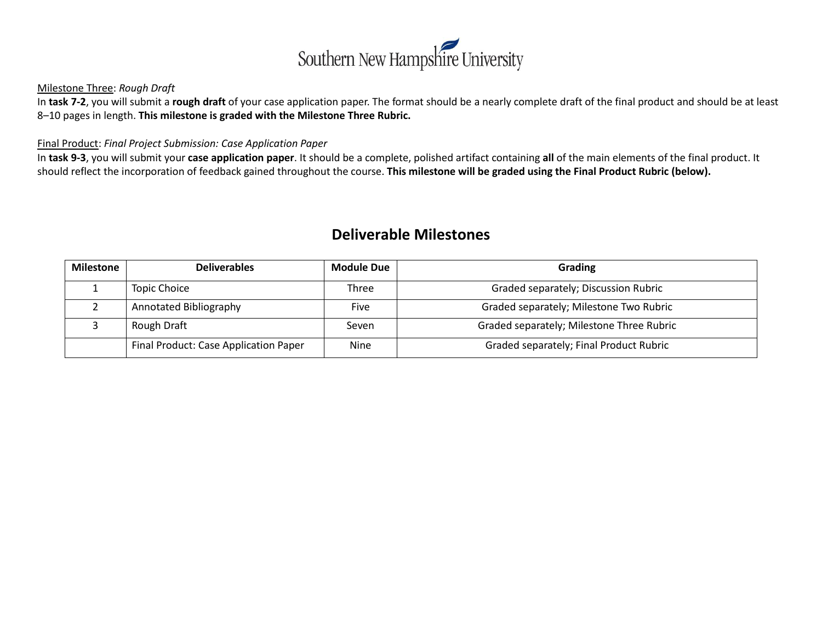

### Milestone Three: *Rough Draft*

In **task 7-2**, you will submit a **rough draft** of your case application paper. The format should be a nearly complete draft of the final product and should be at least 8–10 pages in length. **This milestone is graded with the Milestone Three Rubric.**

#### Final Product: *Final Project Submission: Case Application Paper*

In **task 9-3**, you will submit your **case application paper**. It should be a complete, polished artifact containing **all** of the main elements of the final product. It should reflect the incorporation of feedback gained throughout the course. **This milestone will be graded using the Final Product Rubric (below).**

## **Deliverable Milestones**

| <b>Milestone</b> | <b>Deliverables</b>                   | <b>Module Due</b> | Grading                                   |
|------------------|---------------------------------------|-------------------|-------------------------------------------|
|                  | <b>Topic Choice</b>                   | Three             | Graded separately; Discussion Rubric      |
|                  | Annotated Bibliography                | Five              | Graded separately; Milestone Two Rubric   |
|                  | Rough Draft                           | Seven             | Graded separately; Milestone Three Rubric |
|                  | Final Product: Case Application Paper | <b>Nine</b>       | Graded separately; Final Product Rubric   |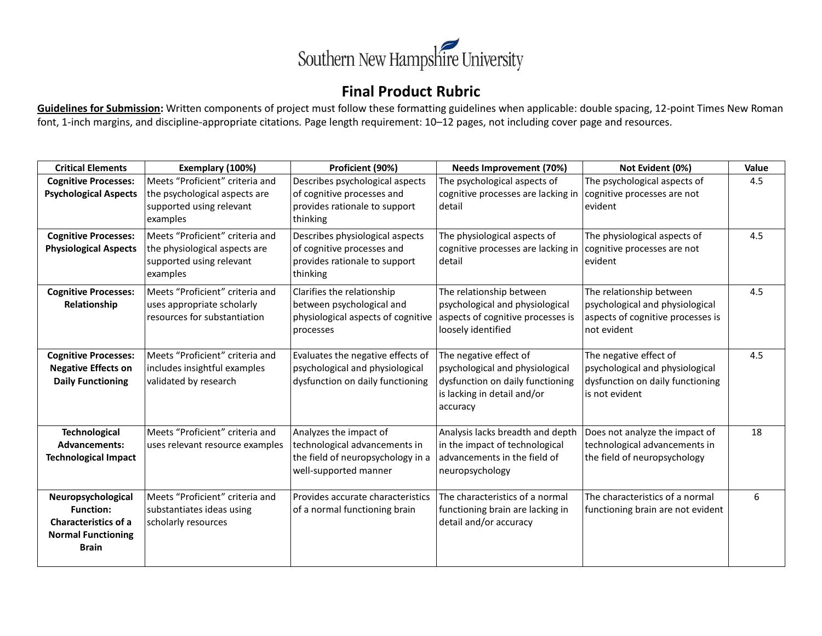

## **Final Product Rubric**

**Guidelines for Submission:** Written components of project must follow these formatting guidelines when applicable: double spacing, 12-point Times New Roman font, 1-inch margins, and discipline-appropriate citations*.* Page length requirement: 10–12 pages, not including cover page and resources.

| <b>Critical Elements</b>                                                                                           | Exemplary (100%)<br>Proficient (90%)                                                                     |                                                                                                                       | <b>Needs Improvement (70%)</b>                                                                                                           | Not Evident (0%)                                                                                                | Value |
|--------------------------------------------------------------------------------------------------------------------|----------------------------------------------------------------------------------------------------------|-----------------------------------------------------------------------------------------------------------------------|------------------------------------------------------------------------------------------------------------------------------------------|-----------------------------------------------------------------------------------------------------------------|-------|
| <b>Cognitive Processes:</b><br><b>Psychological Aspects</b>                                                        | Meets "Proficient" criteria and<br>the psychological aspects are<br>supported using relevant<br>examples | Describes psychological aspects<br>of cognitive processes and<br>provides rationale to support<br>thinking            | The psychological aspects of<br>cognitive processes are lacking in<br>detail                                                             | The psychological aspects of<br>cognitive processes are not<br>evident                                          | 4.5   |
| <b>Cognitive Processes:</b><br><b>Physiological Aspects</b>                                                        | Meets "Proficient" criteria and<br>the physiological aspects are<br>supported using relevant<br>examples | Describes physiological aspects<br>of cognitive processes and<br>provides rationale to support<br>thinking            | The physiological aspects of<br>cognitive processes are lacking in<br>detail                                                             | The physiological aspects of<br>cognitive processes are not<br>evident                                          | 4.5   |
| <b>Cognitive Processes:</b><br>Relationship                                                                        | Meets "Proficient" criteria and<br>uses appropriate scholarly<br>resources for substantiation            | Clarifies the relationship<br>between psychological and<br>physiological aspects of cognitive<br>processes            | The relationship between<br>psychological and physiological<br>aspects of cognitive processes is<br>loosely identified                   | The relationship between<br>psychological and physiological<br>aspects of cognitive processes is<br>not evident | 4.5   |
| <b>Cognitive Processes:</b><br><b>Negative Effects on</b><br><b>Daily Functioning</b>                              | Meets "Proficient" criteria and<br>includes insightful examples<br>validated by research                 | Evaluates the negative effects of<br>psychological and physiological<br>dysfunction on daily functioning              | The negative effect of<br>psychological and physiological<br>dysfunction on daily functioning<br>is lacking in detail and/or<br>accuracy | The negative effect of<br>psychological and physiological<br>dysfunction on daily functioning<br>is not evident | 4.5   |
| <b>Technological</b><br><b>Advancements:</b><br><b>Technological Impact</b>                                        | Meets "Proficient" criteria and<br>uses relevant resource examples                                       | Analyzes the impact of<br>technological advancements in<br>the field of neuropsychology in a<br>well-supported manner | Analysis lacks breadth and depth<br>in the impact of technological<br>advancements in the field of<br>neuropsychology                    | Does not analyze the impact of<br>technological advancements in<br>the field of neuropsychology                 | 18    |
| Neuropsychological<br><b>Function:</b><br><b>Characteristics of a</b><br><b>Normal Functioning</b><br><b>Brain</b> | Meets "Proficient" criteria and<br>substantiates ideas using<br>scholarly resources                      | Provides accurate characteristics<br>of a normal functioning brain                                                    | The characteristics of a normal<br>functioning brain are lacking in<br>detail and/or accuracy                                            | The characteristics of a normal<br>functioning brain are not evident                                            | 6     |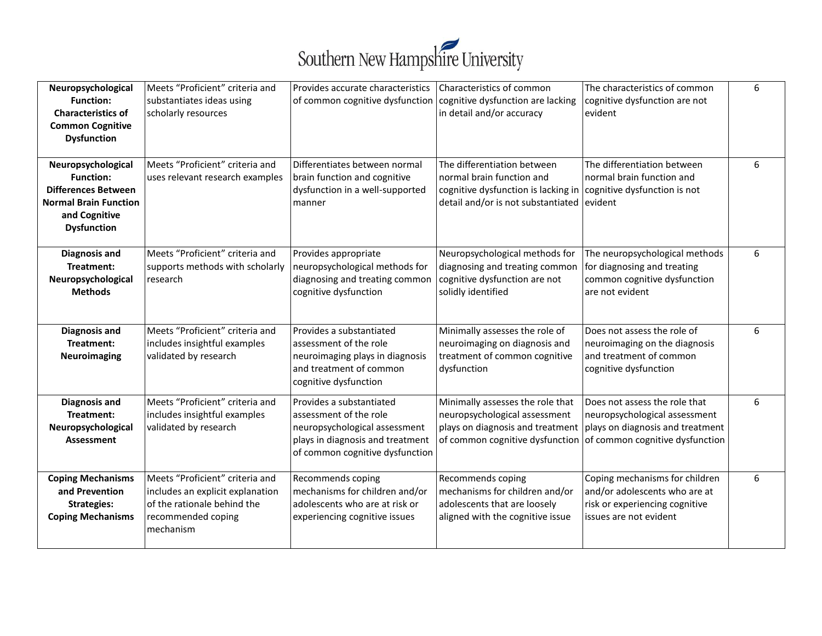

| Neuropsychological<br><b>Function:</b><br><b>Characteristics of</b><br><b>Common Cognitive</b><br><b>Dysfunction</b>                        | Meets "Proficient" criteria and<br>substantiates ideas using<br>scholarly resources                                                   | Provides accurate characteristics<br>of common cognitive dysfunction   cognitive dysfunction are lacking                                                   | Characteristics of common<br>in detail and/or accuracy                                                                                                                     | The characteristics of common<br>cognitive dysfunction are not<br>evident                                                   | 6 |
|---------------------------------------------------------------------------------------------------------------------------------------------|---------------------------------------------------------------------------------------------------------------------------------------|------------------------------------------------------------------------------------------------------------------------------------------------------------|----------------------------------------------------------------------------------------------------------------------------------------------------------------------------|-----------------------------------------------------------------------------------------------------------------------------|---|
| Neuropsychological<br><b>Function:</b><br><b>Differences Between</b><br><b>Normal Brain Function</b><br>and Cognitive<br><b>Dysfunction</b> | Meets "Proficient" criteria and<br>uses relevant research examples                                                                    | Differentiates between normal<br>brain function and cognitive<br>dysfunction in a well-supported<br>manner                                                 | The differentiation between<br>normal brain function and<br>cognitive dysfunction is lacking in cognitive dysfunction is not<br>detail and/or is not substantiated evident | The differentiation between<br>normal brain function and                                                                    | 6 |
| <b>Diagnosis and</b><br>Treatment:<br>Neuropsychological<br><b>Methods</b>                                                                  | Meets "Proficient" criteria and<br>supports methods with scholarly<br>research                                                        | Provides appropriate<br>neuropsychological methods for<br>diagnosing and treating common<br>cognitive dysfunction                                          | Neuropsychological methods for<br>diagnosing and treating common<br>cognitive dysfunction are not<br>solidly identified                                                    | The neuropsychological methods<br>for diagnosing and treating<br>common cognitive dysfunction<br>are not evident            | 6 |
| <b>Diagnosis and</b><br>Treatment:<br>Neuroimaging                                                                                          | Meets "Proficient" criteria and<br>includes insightful examples<br>validated by research                                              | Provides a substantiated<br>assessment of the role<br>neuroimaging plays in diagnosis<br>and treatment of common<br>cognitive dysfunction                  | Minimally assesses the role of<br>neuroimaging on diagnosis and<br>treatment of common cognitive<br>dysfunction                                                            | Does not assess the role of<br>neuroimaging on the diagnosis<br>and treatment of common<br>cognitive dysfunction            | 6 |
| <b>Diagnosis and</b><br>Treatment:<br>Neuropsychological<br><b>Assessment</b>                                                               | Meets "Proficient" criteria and<br>includes insightful examples<br>validated by research                                              | Provides a substantiated<br>assessment of the role<br>neuropsychological assessment<br>plays in diagnosis and treatment<br>of common cognitive dysfunction | Minimally assesses the role that<br>neuropsychological assessment<br>plays on diagnosis and treatment<br>of common cognitive dysfunction of common cognitive dysfunction   | Does not assess the role that<br>neuropsychological assessment<br>plays on diagnosis and treatment                          | 6 |
| <b>Coping Mechanisms</b><br>and Prevention<br><b>Strategies:</b><br><b>Coping Mechanisms</b>                                                | Meets "Proficient" criteria and<br>includes an explicit explanation<br>of the rationale behind the<br>recommended coping<br>mechanism | Recommends coping<br>mechanisms for children and/or<br>adolescents who are at risk or<br>experiencing cognitive issues                                     | Recommends coping<br>mechanisms for children and/or<br>adolescents that are loosely<br>aligned with the cognitive issue                                                    | Coping mechanisms for children<br>and/or adolescents who are at<br>risk or experiencing cognitive<br>issues are not evident | 6 |